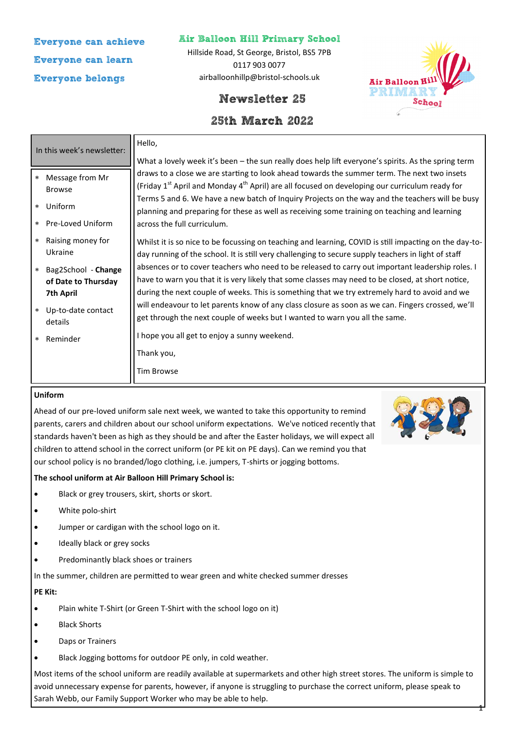# **Everyone can achieve Everyone can learn Everyone belongs**

## **Air Balloon Hill Primary School**

Hillside Road, St George, Bristol, BS5 7PB 0117 903 0077 airballoonhillp@bristol-schools.uk

## **Newsletter 25**

# **25th March 2022**

| In this week's newsletter: |                                              | Hello,                                                                                                                                                                                                                                                                            |
|----------------------------|----------------------------------------------|-----------------------------------------------------------------------------------------------------------------------------------------------------------------------------------------------------------------------------------------------------------------------------------|
|                            |                                              | What a lovely week it's been – the sun really does help lift everyone's spirits. As the spring term                                                                                                                                                                               |
| $\ast$                     | Message from Mr<br><b>Browse</b>             | draws to a close we are starting to look ahead towards the summer term. The next two insets<br>(Friday 1 <sup>st</sup> April and Monday 4 <sup>th</sup> April) are all focused on developing our curriculum ready for                                                             |
|                            | * Uniform                                    | Terms 5 and 6. We have a new batch of Inquiry Projects on the way and the teachers will be busy<br>planning and preparing for these as well as receiving some training on teaching and learning                                                                                   |
|                            | * Pre-Loved Uniform                          | across the full curriculum.                                                                                                                                                                                                                                                       |
|                            | * Raising money for<br>Ukraine               | Whilst it is so nice to be focussing on teaching and learning, COVID is still impacting on the day-to-<br>day running of the school. It is still very challenging to secure supply teachers in light of staff                                                                     |
|                            | * Bag2School - Change<br>of Date to Thursday | absences or to cover teachers who need to be released to carry out important leadership roles. I<br>have to warn you that it is very likely that some classes may need to be closed, at short notice,                                                                             |
|                            | 7th April<br>* Up-to-date contact<br>details | during the next couple of weeks. This is something that we try extremely hard to avoid and we<br>will endeavour to let parents know of any class closure as soon as we can. Fingers crossed, we'll<br>get through the next couple of weeks but I wanted to warn you all the same. |
| $\star$                    | Reminder                                     | I hope you all get to enjoy a sunny weekend.                                                                                                                                                                                                                                      |
|                            |                                              | Thank you,                                                                                                                                                                                                                                                                        |
|                            |                                              | <b>Tim Browse</b>                                                                                                                                                                                                                                                                 |
|                            |                                              |                                                                                                                                                                                                                                                                                   |

### **Uniform**

Ahead of our pre-loved uniform sale next week, we wanted to take this opportunity to remind parents, carers and children about our school uniform expectations. We've noticed recently that standards haven't been as high as they should be and after the Easter holidays, we will expect all children to attend school in the correct uniform (or PE kit on PE days). Can we remind you that our school policy is no branded/logo clothing, i.e. jumpers, T-shirts or jogging bottoms.



**Air Balloon H** PRIMAR

School

1

### **The school uniform at Air Balloon Hill Primary School is:**

- Black or grey trousers, skirt, shorts or skort.
- White polo-shirt
- Jumper or cardigan with the school logo on it.
- Ideally black or grey socks
- Predominantly black shoes or trainers

In the summer, children are permitted to wear green and white checked summer dresses

### **PE Kit:**

- Plain white T-Shirt (or Green T-Shirt with the school logo on it)
- Black Shorts
- Daps or Trainers
- Black Jogging bottoms for outdoor PE only, in cold weather.

Most items of the school uniform are readily available at supermarkets and other high street stores. The uniform is simple to avoid unnecessary expense for parents, however, if anyone is struggling to purchase the correct uniform, please speak to Sarah Webb, our Family Support Worker who may be able to help.